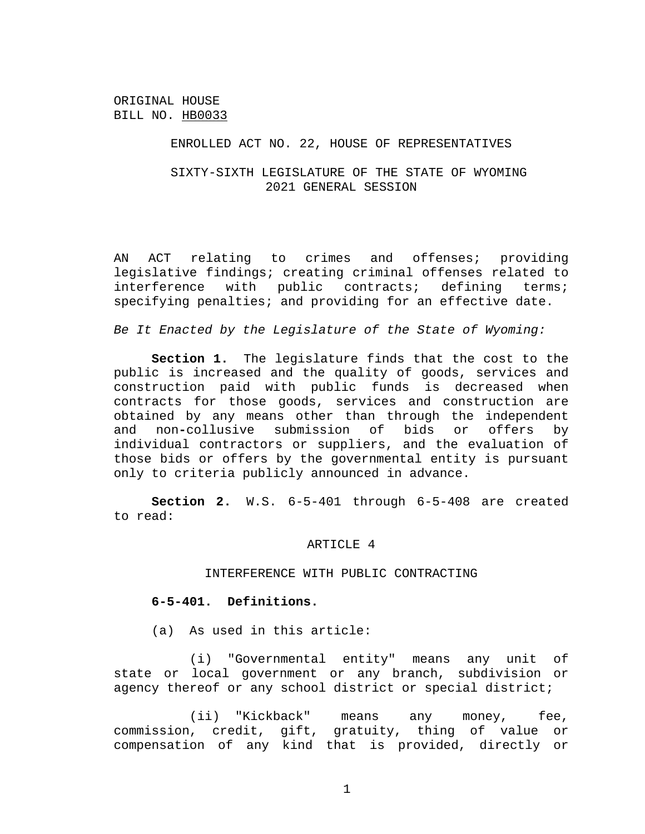### ENROLLED ACT NO. 22, HOUSE OF REPRESENTATIVES

# SIXTY-SIXTH LEGISLATURE OF THE STATE OF WYOMING 2021 GENERAL SESSION

AN ACT relating to crimes and offenses; providing legislative findings; creating criminal offenses related to interference with public contracts; defining terms; specifying penalties; and providing for an effective date.

*Be It Enacted by the Legislature of the State of Wyoming:*

**Section 1.** The legislature finds that the cost to the public is increased and the quality of goods, services and construction paid with public funds is decreased when contracts for those goods, services and construction are obtained by any means other than through the independent and non**-**collusive submission of bids or offers by individual contractors or suppliers, and the evaluation of those bids or offers by the governmental entity is pursuant only to criteria publicly announced in advance.

**Section 2.** W.S. 6-5-401 through 6-5-408 are created to read:

### ARTICLE 4

## INTERFERENCE WITH PUBLIC CONTRACTING

## **6-5-401. Definitions.**

(a) As used in this article:

(i) "Governmental entity" means any unit of state or local government or any branch, subdivision or agency thereof or any school district or special district;

(ii) "Kickback" means any money, fee, commission, credit, gift, gratuity, thing of value or compensation of any kind that is provided, directly or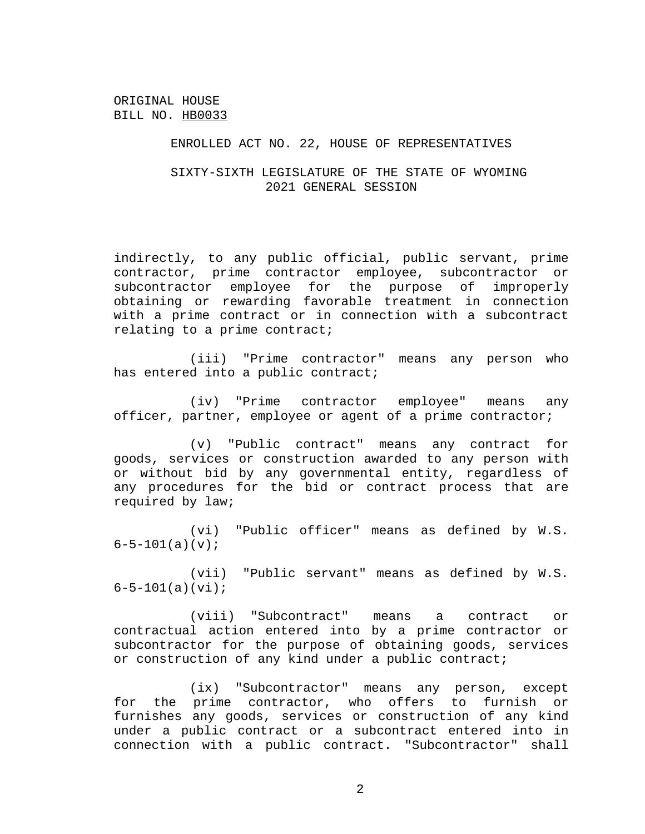### ENROLLED ACT NO. 22, HOUSE OF REPRESENTATIVES

# SIXTY-SIXTH LEGISLATURE OF THE STATE OF WYOMING 2021 GENERAL SESSION

indirectly, to any public official, public servant, prime contractor, prime contractor employee, subcontractor or subcontractor employee for the purpose of improperly obtaining or rewarding favorable treatment in connection with a prime contract or in connection with a subcontract relating to a prime contract;

(iii) "Prime contractor" means any person who has entered into a public contract;

(iv) "Prime contractor employee" means any officer, partner, employee or agent of a prime contractor;

(v) "Public contract" means any contract for goods, services or construction awarded to any person with or without bid by any governmental entity, regardless of any procedures for the bid or contract process that are required by law;

(vi) "Public officer" means as defined by W.S.  $6 - 5 - 101(a)(v);$ 

(vii) "Public servant" means as defined by W.S.  $6 - 5 - 101(a)(vi);$ 

(viii) "Subcontract" means a contract or contractual action entered into by a prime contractor or subcontractor for the purpose of obtaining goods, services or construction of any kind under a public contract;

(ix) "Subcontractor" means any person, except for the prime contractor, who offers to furnish or furnishes any goods, services or construction of any kind under a public contract or a subcontract entered into in connection with a public contract. "Subcontractor" shall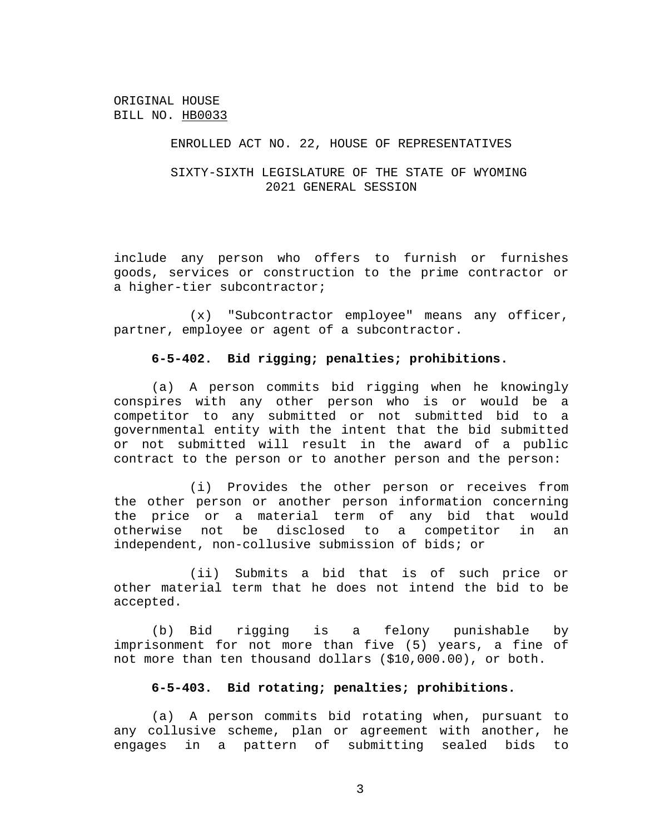### ENROLLED ACT NO. 22, HOUSE OF REPRESENTATIVES

# SIXTY-SIXTH LEGISLATURE OF THE STATE OF WYOMING 2021 GENERAL SESSION

include any person who offers to furnish or furnishes goods, services or construction to the prime contractor or a higher-tier subcontractor;

(x) "Subcontractor employee" means any officer, partner, employee or agent of a subcontractor.

## **6-5-402. Bid rigging; penalties; prohibitions.**

(a) A person commits bid rigging when he knowingly conspires with any other person who is or would be a competitor to any submitted or not submitted bid to a governmental entity with the intent that the bid submitted or not submitted will result in the award of a public contract to the person or to another person and the person:

(i) Provides the other person or receives from the other person or another person information concerning the price or a material term of any bid that would otherwise not be disclosed to a competitor in an independent, non-collusive submission of bids; or

(ii) Submits a bid that is of such price or other material term that he does not intend the bid to be accepted.

(b) Bid rigging is a felony punishable by imprisonment for not more than five (5) years, a fine of not more than ten thousand dollars (\$10,000.00), or both.

## **6-5-403. Bid rotating; penalties; prohibitions.**

(a) A person commits bid rotating when, pursuant to any collusive scheme, plan or agreement with another, he engages in a pattern of submitting sealed bids to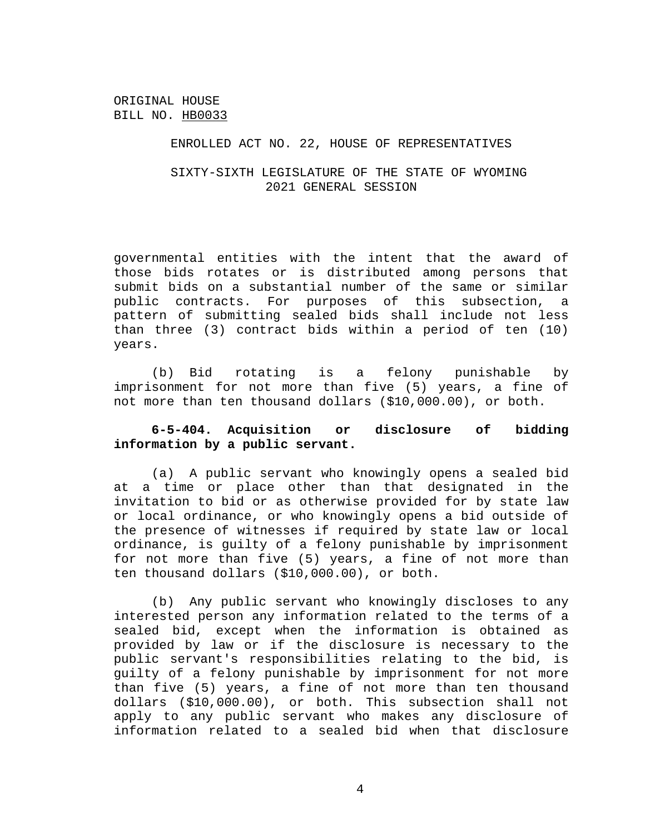### ENROLLED ACT NO. 22, HOUSE OF REPRESENTATIVES

# SIXTY-SIXTH LEGISLATURE OF THE STATE OF WYOMING 2021 GENERAL SESSION

governmental entities with the intent that the award of those bids rotates or is distributed among persons that submit bids on a substantial number of the same or similar public contracts. For purposes of this subsection, a pattern of submitting sealed bids shall include not less than three (3) contract bids within a period of ten (10) years.

(b) Bid rotating is a felony punishable by imprisonment for not more than five (5) years, a fine of not more than ten thousand dollars (\$10,000.00), or both.

## **6-5-404. Acquisition or disclosure of bidding information by a public servant.**

(a) A public servant who knowingly opens a sealed bid at a time or place other than that designated in the invitation to bid or as otherwise provided for by state law or local ordinance, or who knowingly opens a bid outside of the presence of witnesses if required by state law or local ordinance, is guilty of a felony punishable by imprisonment for not more than five (5) years, a fine of not more than ten thousand dollars (\$10,000.00), or both.

(b) Any public servant who knowingly discloses to any interested person any information related to the terms of a sealed bid, except when the information is obtained as provided by law or if the disclosure is necessary to the public servant's responsibilities relating to the bid, is guilty of a felony punishable by imprisonment for not more than five (5) years, a fine of not more than ten thousand dollars (\$10,000.00), or both. This subsection shall not apply to any public servant who makes any disclosure of information related to a sealed bid when that disclosure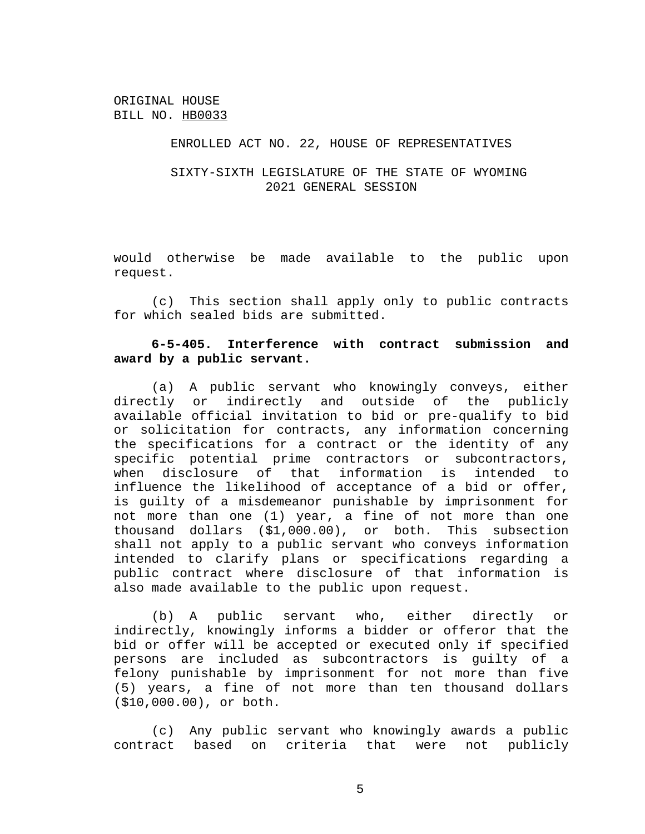### ENROLLED ACT NO. 22, HOUSE OF REPRESENTATIVES

# SIXTY-SIXTH LEGISLATURE OF THE STATE OF WYOMING 2021 GENERAL SESSION

would otherwise be made available to the public upon request.

(c) This section shall apply only to public contracts for which sealed bids are submitted.

# **6-5-405. Interference with contract submission and award by a public servant.**

(a) A public servant who knowingly conveys, either directly or indirectly and outside of the publicly available official invitation to bid or pre-qualify to bid or solicitation for contracts, any information concerning the specifications for a contract or the identity of any specific potential prime contractors or subcontractors, when disclosure of that information is intended to influence the likelihood of acceptance of a bid or offer, is guilty of a misdemeanor punishable by imprisonment for not more than one (1) year, a fine of not more than one thousand dollars (\$1,000.00), or both. This subsection shall not apply to a public servant who conveys information intended to clarify plans or specifications regarding a public contract where disclosure of that information is also made available to the public upon request.

(b) A public servant who, either directly or indirectly, knowingly informs a bidder or offeror that the bid or offer will be accepted or executed only if specified persons are included as subcontractors is guilty of a felony punishable by imprisonment for not more than five (5) years, a fine of not more than ten thousand dollars (\$10,000.00), or both.

(c) Any public servant who knowingly awards a public contract based on criteria that were not publicly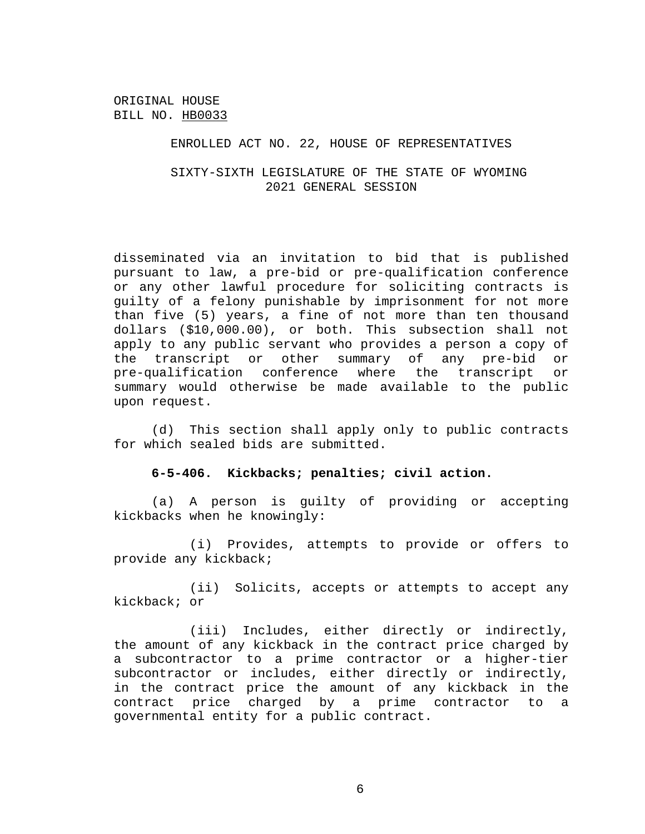### ENROLLED ACT NO. 22, HOUSE OF REPRESENTATIVES

# SIXTY-SIXTH LEGISLATURE OF THE STATE OF WYOMING 2021 GENERAL SESSION

disseminated via an invitation to bid that is published pursuant to law, a pre-bid or pre-qualification conference or any other lawful procedure for soliciting contracts is guilty of a felony punishable by imprisonment for not more than five (5) years, a fine of not more than ten thousand dollars (\$10,000.00), or both. This subsection shall not apply to any public servant who provides a person a copy of the transcript or other summary of any pre-bid or pre-qualification conference where the transcript or summary would otherwise be made available to the public upon request.

(d) This section shall apply only to public contracts for which sealed bids are submitted.

### **6-5-406. Kickbacks; penalties; civil action.**

(a) A person is guilty of providing or accepting kickbacks when he knowingly:

(i) Provides, attempts to provide or offers to provide any kickback;

(ii) Solicits, accepts or attempts to accept any kickback; or

(iii) Includes, either directly or indirectly, the amount of any kickback in the contract price charged by a subcontractor to a prime contractor or a higher-tier subcontractor or includes, either directly or indirectly, in the contract price the amount of any kickback in the contract price charged by a prime contractor to a governmental entity for a public contract.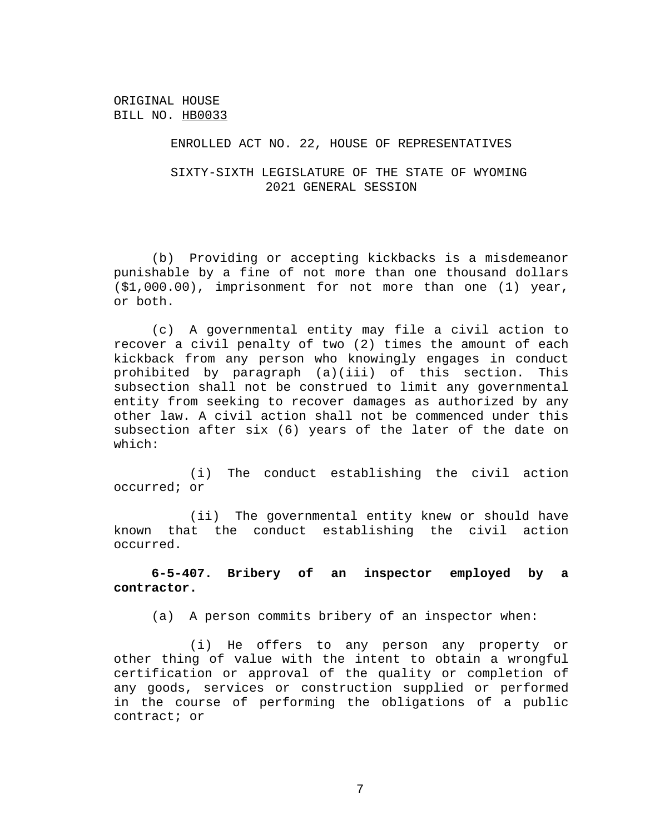### ENROLLED ACT NO. 22, HOUSE OF REPRESENTATIVES

SIXTY-SIXTH LEGISLATURE OF THE STATE OF WYOMING 2021 GENERAL SESSION

(b) Providing or accepting kickbacks is a misdemeanor punishable by a fine of not more than one thousand dollars (\$1,000.00), imprisonment for not more than one (1) year, or both.

(c) A governmental entity may file a civil action to recover a civil penalty of two (2) times the amount of each kickback from any person who knowingly engages in conduct prohibited by paragraph (a)(iii) of this section. This subsection shall not be construed to limit any governmental entity from seeking to recover damages as authorized by any other law. A civil action shall not be commenced under this subsection after six (6) years of the later of the date on which:

(i) The conduct establishing the civil action occurred; or

(ii) The governmental entity knew or should have known that the conduct establishing the civil action occurred.

**6-5-407. Bribery of an inspector employed by a contractor.**

(a) A person commits bribery of an inspector when:

(i) He offers to any person any property or other thing of value with the intent to obtain a wrongful certification or approval of the quality or completion of any goods, services or construction supplied or performed in the course of performing the obligations of a public contract; or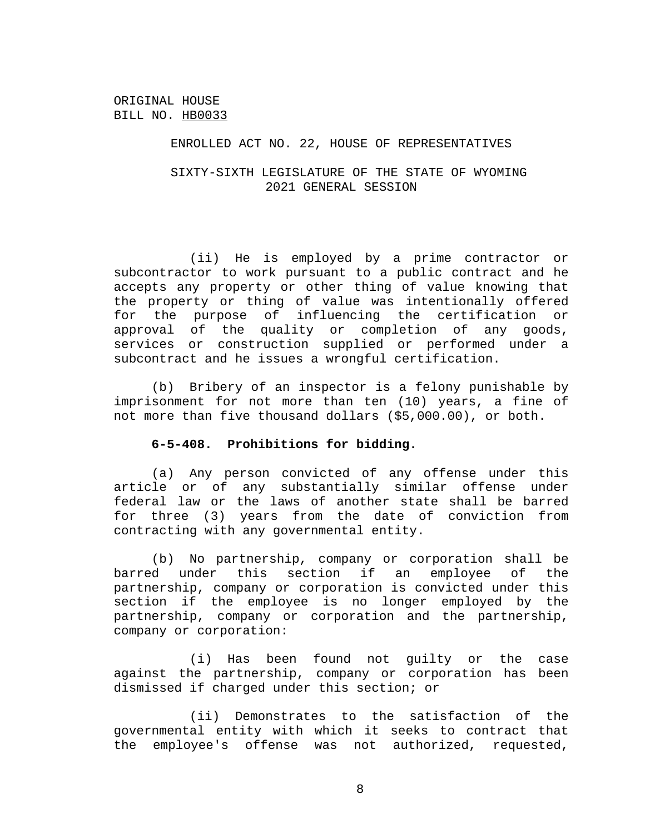### ENROLLED ACT NO. 22, HOUSE OF REPRESENTATIVES

# SIXTY-SIXTH LEGISLATURE OF THE STATE OF WYOMING 2021 GENERAL SESSION

(ii) He is employed by a prime contractor or subcontractor to work pursuant to a public contract and he accepts any property or other thing of value knowing that the property or thing of value was intentionally offered for the purpose of influencing the certification or approval of the quality or completion of any goods, services or construction supplied or performed under a subcontract and he issues a wrongful certification.

(b) Bribery of an inspector is a felony punishable by imprisonment for not more than ten (10) years, a fine of not more than five thousand dollars (\$5,000.00), or both.

### **6-5-408. Prohibitions for bidding.**

(a) Any person convicted of any offense under this article or of any substantially similar offense under federal law or the laws of another state shall be barred for three (3) years from the date of conviction from contracting with any governmental entity.

(b) No partnership, company or corporation shall be barred under this section if an employee of the partnership, company or corporation is convicted under this section if the employee is no longer employed by the partnership, company or corporation and the partnership, company or corporation:

(i) Has been found not guilty or the case against the partnership, company or corporation has been dismissed if charged under this section; or

(ii) Demonstrates to the satisfaction of the governmental entity with which it seeks to contract that the employee's offense was not authorized, requested,